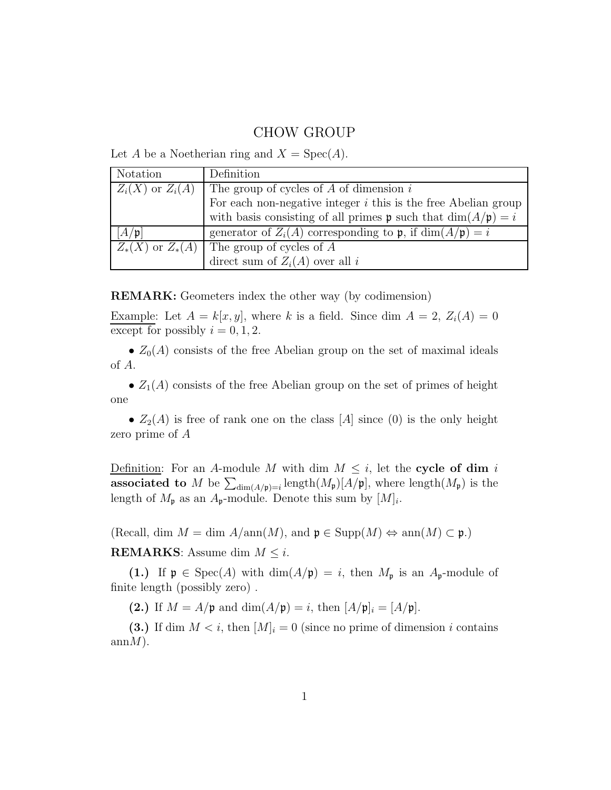# CHOW GROUP

| Notation             | Definition                                                              |
|----------------------|-------------------------------------------------------------------------|
| $Z_i(X)$ or $Z_i(A)$ | The group of cycles of $A$ of dimension $i$                             |
|                      | For each non-negative integer $i$ this is the free Abelian group        |
|                      | with basis consisting of all primes <b>p</b> such that $dim(A/p) = i$   |
| $A/\mathfrak{p}$     | generator of $Z_i(A)$ corresponding to p, if $\dim(A/\mathfrak{p}) = i$ |
| $Z_*(X)$ or $Z_*(A)$ | The group of cycles of A                                                |
|                      | direct sum of $Z_i(A)$ over all i                                       |

Let A be a Noetherian ring and  $X = \text{Spec}(A)$ .

REMARK: Geometers index the other way (by codimension)

Example: Let  $A = k[x, y]$ , where k is a field. Since dim  $A = 2$ ,  $Z_i(A) = 0$ except for possibly  $i = 0, 1, 2$ .

•  $Z_0(A)$  consists of the free Abelian group on the set of maximal ideals of A.

•  $Z_1(A)$  consists of the free Abelian group on the set of primes of height one

•  $Z_2(A)$  is free of rank one on the class [A] since (0) is the only height zero prime of A

Definition: For an A-module M with dim  $M \leq i$ , let the cycle of dim i associated to M be  $\sum_{dim(A/\mathfrak{p})=i}$  length $(M_{\mathfrak{p}})[A/\mathfrak{p}]$ , where length $(M_{\mathfrak{p}})$  is the length of  $M_{\mathfrak{p}}$  as an  $A_{\mathfrak{p}}$ -module. Denote this sum by  $[M]_i$ .

(Recall, dim  $M = \dim A/\text{ann}(M)$ , and  $\mathfrak{p} \in \text{Supp}(M) \Leftrightarrow \text{ann}(M) \subset \mathfrak{p}$ .)

**REMARKS:** Assume dim  $M \leq i$ .

(1.) If  $\mathfrak{p} \in \text{Spec}(A)$  with  $\dim(A/\mathfrak{p}) = i$ , then  $M_{\mathfrak{p}}$  is an  $A_{\mathfrak{p}}$ -module of finite length (possibly zero) .

(2.) If  $M = A/\mathfrak{p}$  and  $\dim(A/\mathfrak{p}) = i$ , then  $[A/\mathfrak{p}]_i = [A/\mathfrak{p}]$ .

(3.) If dim  $M < i$ , then  $[M]_i = 0$  (since no prime of dimension i contains  $annM$ ).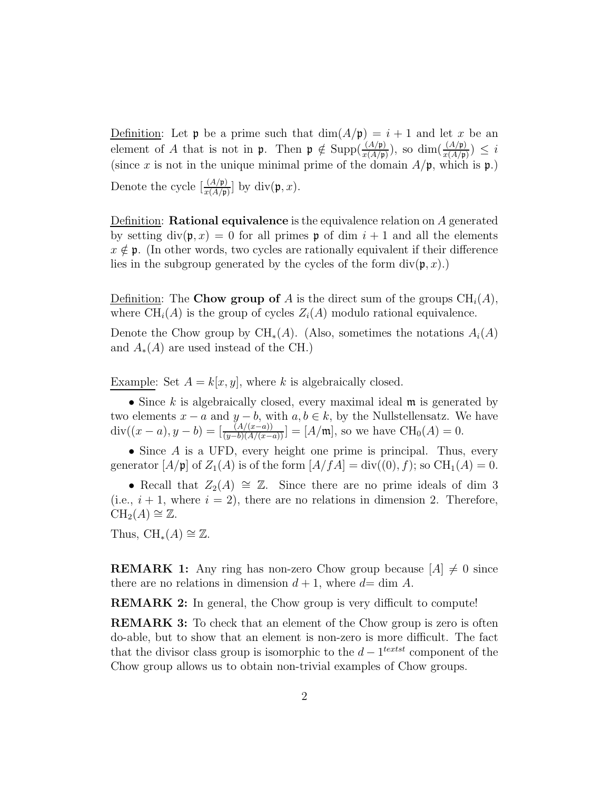Definition: Let **p** be a prime such that  $dim(A/\mathfrak{p}) = i + 1$  and let x be an element of A that is not in  $\mathfrak{p}$ . Then  $\mathfrak{p} \notin \text{Supp}(\frac{(A/\mathfrak{p})}{x(A/\mathfrak{p})})$ , so  $\dim(\frac{(A/\mathfrak{p})}{x(A/\mathfrak{p})}) \leq i$ (since x is not in the unique minimal prime of the domain  $A/\mathfrak{p}$ , which is  $\mathfrak{p}$ .) Denote the cycle  $\left[\frac{(A/\mathfrak{p})}{x(A/\mathfrak{p})}\right]$  by div $(\mathfrak{p}, x)$ .

Definition: **Rational equivalence** is the equivalence relation on  $\tilde{A}$  generated by setting  $div(\mathfrak{p}, x) = 0$  for all primes  $\mathfrak{p}$  of dim  $i + 1$  and all the elements  $x \notin \mathfrak{p}$ . (In other words, two cycles are rationally equivalent if their difference lies in the subgroup generated by the cycles of the form  $div(\mathfrak{p}, x)$ .

Definition: The Chow group of A is the direct sum of the groups  $\text{CH}_i(A)$ , where  $\text{CH}_i(A)$  is the group of cycles  $Z_i(A)$  modulo rational equivalence.

Denote the Chow group by CH<sub>∗</sub>(A). (Also, sometimes the notations  $A_i(A)$ and  $A_*(A)$  are used instead of the CH.)

Example: Set  $A = k[x, y]$ , where k is algebraically closed.

• Since k is algebraically closed, every maximal ideal  $\mathfrak m$  is generated by two elements  $x - a$  and  $y - b$ , with  $a, b \in k$ , by the Nullstellensatz. We have  $div((x-a), y-b) = \left[\frac{(A/(x-a))}{(y-b)(A/(x-a))}\right] = [A/\mathfrak{m}]$ , so we have  $CH_0(A) = 0$ .

• Since  $A$  is a UFD, every height one prime is principal. Thus, every generator  $[A/\mathfrak{p}]$  of  $Z_1(A)$  is of the form  $[A/fA] = \text{div}((0), f)$ ; so  $\text{CH}_1(A) = 0$ .

• Recall that  $Z_2(A) \cong \mathbb{Z}$ . Since there are no prime ideals of dim 3 (i.e.,  $i + 1$ , where  $i = 2$ ), there are no relations in dimension 2. Therefore,  $CH<sub>2</sub>(A) \cong \mathbb{Z}$ .

Thus,  $\text{CH}_*(A) \cong \mathbb{Z}$ .

**REMARK 1:** Any ring has non-zero Chow group because  $[A] \neq 0$  since there are no relations in dimension  $d + 1$ , where  $d = \dim A$ .

REMARK 2: In general, the Chow group is very difficult to compute!

**REMARK 3:** To check that an element of the Chow group is zero is often do-able, but to show that an element is non-zero is more difficult. The fact that the divisor class group is isomorphic to the  $d-1^{textst}$  component of the Chow group allows us to obtain non-trivial examples of Chow groups.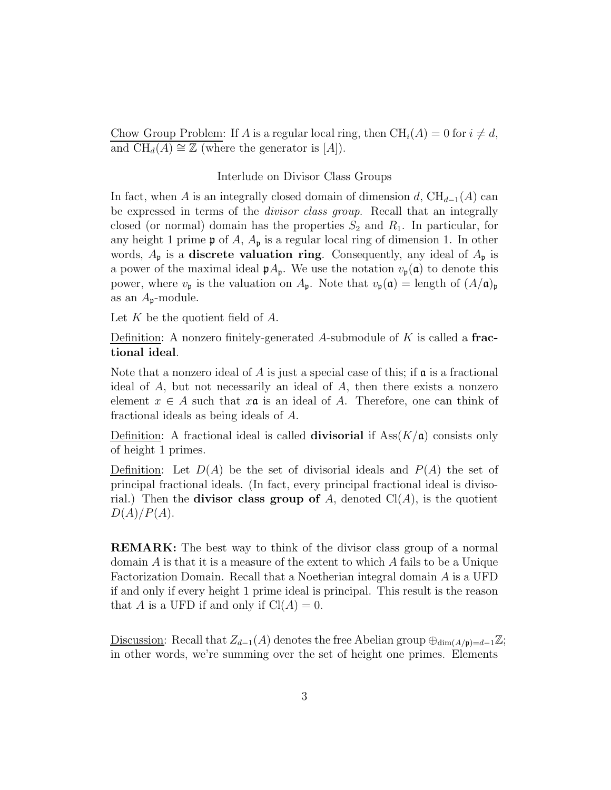Chow Group Problem: If A is a regular local ring, then  $\text{CH}_i(A) = 0$  for  $i \neq d$ , and  $\text{CH}_d(A) \cong \mathbb{Z}$  (where the generator is [A]).

#### Interlude on Divisor Class Groups

In fact, when A is an integrally closed domain of dimension d,  $\text{CH}_{d-1}(A)$  can be expressed in terms of the divisor class group. Recall that an integrally closed (or normal) domain has the properties  $S_2$  and  $R_1$ . In particular, for any height 1 prime  $\mathfrak p$  of A,  $A_{\mathfrak p}$  is a regular local ring of dimension 1. In other words,  $A_{\mathfrak{p}}$  is a **discrete valuation ring**. Consequently, any ideal of  $A_{\mathfrak{p}}$  is a power of the maximal ideal  $pA_p$ . We use the notation  $v_p(\mathfrak{a})$  to denote this power, where  $v_{\mathfrak{p}}$  is the valuation on  $A_{\mathfrak{p}}$ . Note that  $v_{\mathfrak{p}}(\mathfrak{a}) = \text{length of } (A/\mathfrak{a})_{\mathfrak{p}}$ as an  $A_{p}$ -module.

Let  $K$  be the quotient field of  $A$ .

Definition: A nonzero finitely-generated A-submodule of  $K$  is called a **frac**tional ideal.

Note that a nonzero ideal of  $A$  is just a special case of this; if  $\alpha$  is a fractional ideal of  $A$ , but not necessarily an ideal of  $A$ , then there exists a nonzero element  $x \in A$  such that  $x\mathfrak{a}$  is an ideal of A. Therefore, one can think of fractional ideals as being ideals of A.

Definition: A fractional ideal is called **divisorial** if  $\text{Ass}(K/\mathfrak{a})$  consists only of height 1 primes.

Definition: Let  $D(A)$  be the set of divisorial ideals and  $P(A)$  the set of principal fractional ideals. (In fact, every principal fractional ideal is divisorial.) Then the **divisor class group of** A, denoted  $Cl(A)$ , is the quotient  $D(A)/P(A)$ .

REMARK: The best way to think of the divisor class group of a normal domain  $A$  is that it is a measure of the extent to which  $A$  fails to be a Unique Factorization Domain. Recall that a Noetherian integral domain A is a UFD if and only if every height 1 prime ideal is principal. This result is the reason that A is a UFD if and only if  $Cl(A) = 0$ .

Discussion: Recall that  $Z_{d-1}(A)$  denotes the free Abelian group  $\bigoplus_{\dim(A/\mathfrak{p})=d-1}\mathbb{Z};$ in other words, we're summing over the set of height one primes. Elements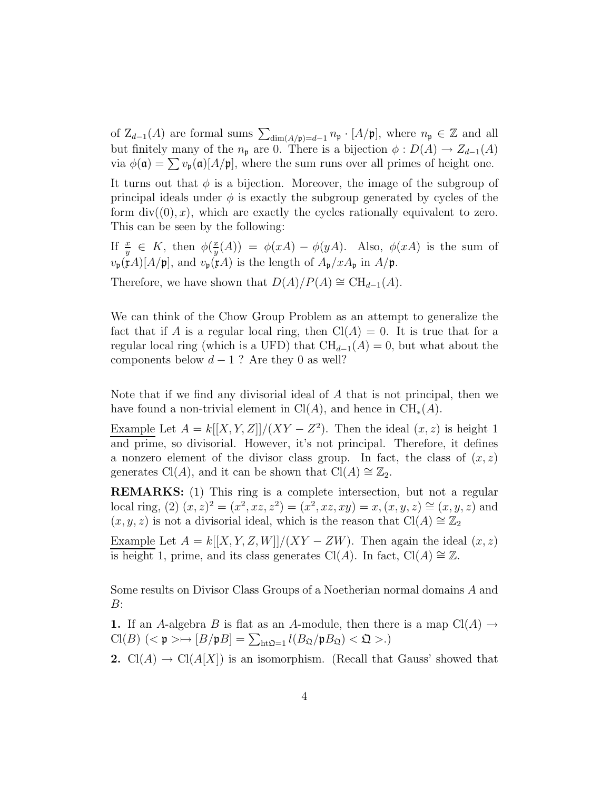of  $Z_{d-1}(A)$  are formal sums  $\sum_{dim(A/\mathfrak{p})=d-1} n_{\mathfrak{p}} \cdot [A/\mathfrak{p}]$ , where  $n_{\mathfrak{p}} \in \mathbb{Z}$  and all but finitely many of the  $n_{p}$  are 0. There is a bijection  $\phi : D(A) \to Z_{d-1}(A)$ via  $\phi(\mathfrak{a}) = \sum v_{\mathfrak{p}}(\mathfrak{a})[A/\mathfrak{p}]$ , where the sum runs over all primes of height one.

It turns out that  $\phi$  is a bijection. Moreover, the image of the subgroup of principal ideals under  $\phi$  is exactly the subgroup generated by cycles of the form  $div((0), x)$ , which are exactly the cycles rationally equivalent to zero. This can be seen by the following:

If  $\frac{x}{y} \in K$ , then  $\phi(\frac{x}{y})$  $\frac{x}{y}(A)$  =  $\phi(xA) - \phi(yA)$ . Also,  $\phi(xA)$  is the sum of  $v_{\mathfrak{p}}(\mathfrak{x}A)[A/\mathfrak{p}]$ , and  $v_{\mathfrak{p}}(\mathfrak{x}A)$  is the length of  $A_{\mathfrak{p}}/xA_{\mathfrak{p}}$  in  $A/\mathfrak{p}$ .

Therefore, we have shown that  $D(A)/P(A) \cong \text{CH}_{d-1}(A)$ .

We can think of the Chow Group Problem as an attempt to generalize the fact that if A is a regular local ring, then  $Cl(A) = 0$ . It is true that for a regular local ring (which is a UFD) that  $CH_{d-1}(A) = 0$ , but what about the components below  $d-1$  ? Are they 0 as well?

Note that if we find any divisorial ideal of A that is not principal, then we have found a non-trivial element in  $Cl(A)$ , and hence in  $CH_*(A)$ .

Example Let  $A = k[[X, Y, Z]]/(XY - Z^2)$ . Then the ideal  $(x, z)$  is height 1 and prime, so divisorial. However, it's not principal. Therefore, it defines a nonzero element of the divisor class group. In fact, the class of  $(x, z)$ generates Cl(A), and it can be shown that Cl(A)  $\cong \mathbb{Z}_2$ .

REMARKS: (1) This ring is a complete intersection, but not a regular local ring, (2)  $(x, z)^2 = (x^2, xz, z^2) = (x^2, xz, xy) = x, (x, y, z) \approx (x, y, z)$  and  $(x, y, z)$  is not a divisorial ideal, which is the reason that Cl(A) ≅  $\mathbb{Z}_2$ 

Example Let  $A = k[[X, Y, Z, W]]/(XY - ZW)$ . Then again the ideal  $(x, z)$ is height 1, prime, and its class generates Cl(A). In fact, Cl(A)  $\cong \mathbb{Z}$ .

Some results on Divisor Class Groups of a Noetherian normal domains A and B:

1. If an A-algebra B is flat as an A-module, then there is a map  $Cl(A) \rightarrow$  $\text{Cl}(B)$  (<  $\mathfrak{p} \rightarrow \rightarrow [B/\mathfrak{p}B] = \sum_{\text{ht}\mathfrak{Q}=1} l(B_{\mathfrak{Q}}/\mathfrak{p}B_{\mathfrak{Q}}) < \mathfrak{Q} >.$ )

**2.** Cl(A)  $\rightarrow$  Cl(A[X]) is an isomorphism. (Recall that Gauss' showed that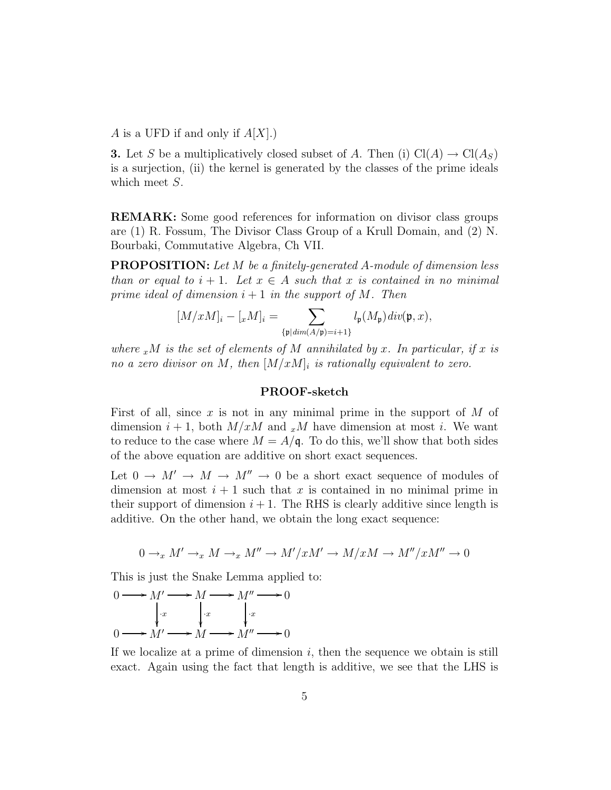A is a UFD if and only if  $A[X]$ .)

**3.** Let S be a multiplicatively closed subset of A. Then (i)  $Cl(A) \rightarrow Cl(A_S)$ is a surjection, (ii) the kernel is generated by the classes of the prime ideals which meet S.

REMARK: Some good references for information on divisor class groups are (1) R. Fossum, The Divisor Class Group of a Krull Domain, and (2) N. Bourbaki, Commutative Algebra, Ch VII.

PROPOSITION: Let M be a finitely-generated A-module of dimension less than or equal to  $i + 1$ . Let  $x \in A$  such that x is contained in no minimal prime ideal of dimension  $i + 1$  in the support of M. Then

$$
[M/xM]_i - [xM]_i = \sum_{\{\mathfrak{p} | dim(A/\mathfrak{p}) = i+1\}} l_{\mathfrak{p}}(M_{\mathfrak{p}}) div(\mathfrak{p}, x),
$$

where  $x^M$  is the set of elements of M annihilated by x. In particular, if x is no a zero divisor on M, then  $[M/xM]_i$  is rationally equivalent to zero.

### PROOF-sketch

First of all, since x is not in any minimal prime in the support of  $M$  of dimension  $i + 1$ , both  $M/xM$  and  $x^M$  have dimension at most i. We want to reduce to the case where  $M = A/\mathfrak{q}$ . To do this, we'll show that both sides of the above equation are additive on short exact sequences.

Let  $0 \to M' \to M \to M'' \to 0$  be a short exact sequence of modules of dimension at most  $i + 1$  such that x is contained in no minimal prime in their support of dimension  $i + 1$ . The RHS is clearly additive since length is additive. On the other hand, we obtain the long exact sequence:

$$
0 \to_x M' \to_x M \to_x M'' \to M'/xM' \to M/xM \to M''/xM'' \to 0
$$

This is just the Snake Lemma applied to:

$$
0 \longrightarrow M' \longrightarrow M \longrightarrow M'' \longrightarrow 0
$$
  
\n
$$
\downarrow x \qquad \downarrow x \qquad \downarrow x
$$
  
\n
$$
0 \longrightarrow M' \longrightarrow M \longrightarrow M'' \longrightarrow 0
$$

If we localize at a prime of dimension  $i$ , then the sequence we obtain is still exact. Again using the fact that length is additive, we see that the LHS is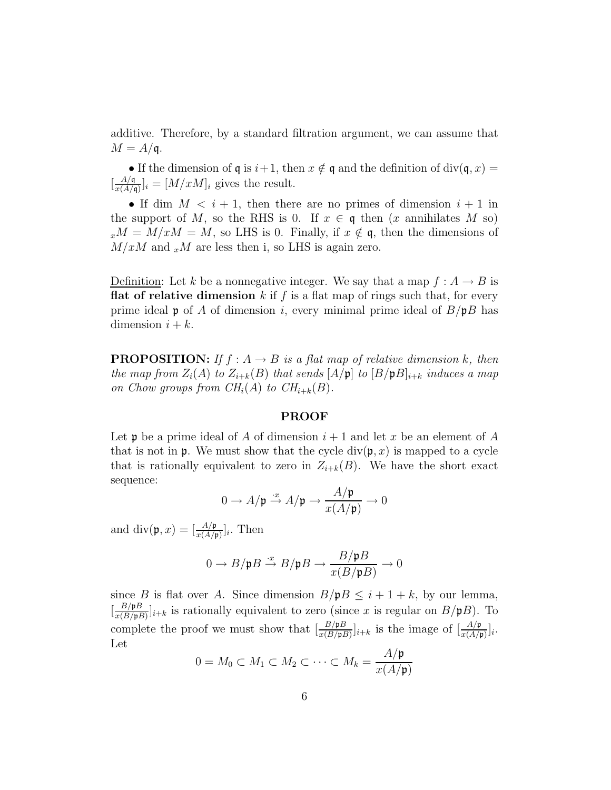additive. Therefore, by a standard filtration argument, we can assume that  $M = A/\mathfrak{q}$ .

• If the dimension of  $\mathfrak q$  is  $i+1$ , then  $x \notin \mathfrak q$  and the definition of div( $\mathfrak q, x$ ) =  $\frac{A/q}{r(A)}$  $\frac{A}{x(A/\mathfrak{q})}|_i = [M/xM]_i$  gives the result.

• If dim  $M < i + 1$ , then there are no primes of dimension  $i + 1$  in the support of M, so the RHS is 0. If  $x \in \mathfrak{q}$  then  $(x \text{ annihilates } M \text{ so})$  $x^M = M/xM = M$ , so LHS is 0. Finally, if  $x \notin \mathfrak{q}$ , then the dimensions of  $M/xM$  and  $x^M$  are less then i, so LHS is again zero.

Definition: Let k be a nonnegative integer. We say that a map  $f: A \rightarrow B$  is **flat of relative dimension** k if f is a flat map of rings such that, for every prime ideal **p** of A of dimension i, every minimal prime ideal of  $B/pB$  has dimension  $i + k$ .

**PROPOSITION:** If  $f : A \rightarrow B$  is a flat map of relative dimension k, then the map from  $Z_i(A)$  to  $Z_{i+k}(B)$  that sends  $[A/\mathfrak{p}]$  to  $[B/\mathfrak{p}B]_{i+k}$  induces a map on Chow groups from  $CH_i(A)$  to  $CH_{i+k}(B)$ .

### PROOF

Let **p** be a prime ideal of A of dimension  $i + 1$  and let x be an element of A that is not in **p**. We must show that the cycle  $div(\mathfrak{p}, x)$  is mapped to a cycle that is rationally equivalent to zero in  $Z_{i+k}(B)$ . We have the short exact sequence:

$$
0 \to A/\mathfrak{p} \stackrel{\cdot x}{\to} A/\mathfrak{p} \to \frac{A/\mathfrak{p}}{x(A/\mathfrak{p})} \to 0
$$

and  $\text{div}(\mathfrak{p},x) = \left[\frac{A/\mathfrak{p}}{x(A/\mathfrak{p})}\right]_i$ . Then

$$
0 \to B/\mathfrak{p}B \xrightarrow{\cdot x} B/\mathfrak{p}B \to \frac{B/\mathfrak{p}B}{x(B/\mathfrak{p}B)} \to 0
$$

since B is flat over A. Since dimension  $B/pB \leq i+1+k$ , by our lemma,  $\frac{B/\mathfrak{p}B}{r(B/\mathfrak{n}B)}$  $\frac{B/\mathfrak{p}_B}{x(B/\mathfrak{p}_B)}\Big]_{i+k}$  is rationally equivalent to zero (since x is regular on  $B/\mathfrak{p}_B$ ). To complete the proof we must show that  $\left[\frac{B/\mathfrak{p}B}{x(B/\mathfrak{p}B)}\right]_{i+k}$  is the image of  $\left[\frac{A/\mathfrak{p}}{x(A/\mathfrak{p})}\right]_i$ . Let  $\lambda$  /

$$
0 = M_0 \subset M_1 \subset M_2 \subset \cdots \subset M_k = \frac{A/\mathfrak{p}}{x(A/\mathfrak{p})}
$$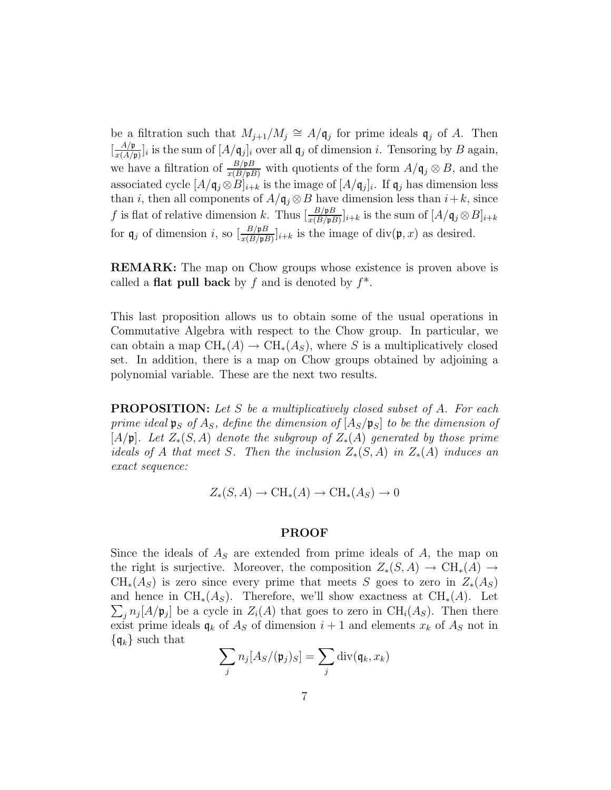be a filtration such that  $M_{j+1}/M_j \cong A/\mathfrak{q}_j$  for prime ideals  $\mathfrak{q}_j$  of A. Then  $\frac{A/\mathfrak{p}}{r(A)}$  $\frac{A/\mathfrak{p}}{x(A/\mathfrak{p})}|_i$  is the sum of  $[A/\mathfrak{q}_j]_i$  over all  $\mathfrak{q}_j$  of dimension i. Tensoring by B again, we have a filtration of  $\frac{B/\mathfrak{p}_B}{x(B/\mathfrak{p}_B)}$  with quotients of the form  $A/\mathfrak{q}_j \otimes B$ , and the associated cycle  $[A/\mathfrak{q}_j \otimes B]_{i+k}$  is the image of  $[A/\mathfrak{q}_j]_i$ . If  $\mathfrak{q}_j$  has dimension less than *i*, then all components of  $A/\mathfrak{q}_j \otimes B$  have dimension less than  $i+k$ , since f is flat of relative dimension k. Thus  $\left[\frac{B/pB}{x(B/pB)}\right]_{i+k}$  is the sum of  $[A/\mathfrak{q}_j \otimes B]_{i+k}$ for  $\mathfrak{q}_j$  of dimension i, so  $\left[\frac{B/\mathfrak{p}B}{x(B/\mathfrak{p}B)}\right]_{i+k}$  is the image of div $(\mathfrak{p},x)$  as desired.

REMARK: The map on Chow groups whose existence is proven above is called a **flat pull back** by f and is denoted by  $f^*$ .

This last proposition allows us to obtain some of the usual operations in Commutative Algebra with respect to the Chow group. In particular, we can obtain a map  $\text{CH}_*(A) \to \text{CH}_*(A_S)$ , where S is a multiplicatively closed set. In addition, there is a map on Chow groups obtained by adjoining a polynomial variable. These are the next two results.

**PROPOSITION:** Let S be a multiplicatively closed subset of A. For each prime ideal  $\mathfrak{p}_S$  of  $A_S$ , define the dimension of  $[A_S/\mathfrak{p}_S]$  to be the dimension of  $[A/\mathfrak{p}]$ . Let  $Z_*(S, A)$  denote the subgroup of  $Z_*(A)$  generated by those prime ideals of A that meet S. Then the inclusion  $Z_*(S, A)$  in  $Z_*(A)$  induces an exact sequence:

$$
Z_*(S, A) \to \text{CH}_*(A) \to \text{CH}_*(A_S) \to 0
$$

## PROOF

Since the ideals of  $A<sub>S</sub>$  are extended from prime ideals of A, the map on the right is surjective. Moreover, the composition  $Z_*(S, A) \to CH_*(A) \to$  $CH_*(A_S)$  is zero since every prime that meets S goes to zero in  $Z_*(A_S)$  $\sum_j n_j [A/\mathfrak{p}_j]$  be a cycle in  $Z_i(A)$  that goes to zero in  $\text{CH}_i(A_S)$ . Then there and hence in  $\text{CH}_*(A_S)$ . Therefore, we'll show exactness at  $\text{CH}_*(A)$ . Let exist prime ideals  $q_k$  of  $A_S$  of dimension  $i+1$  and elements  $x_k$  of  $A_S$  not in  $\{\mathfrak{q}_k\}$  such that

$$
\sum_j n_j [A_S/(\mathfrak{p}_j)_S] = \sum_j \mathrm{div}(\mathfrak{q}_k, x_k)
$$